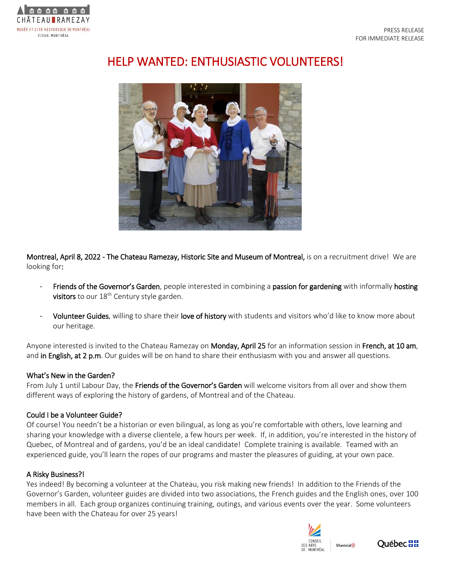

# HELP WANTED: ENTHUSIASTIC VOLUNTEERS!



Montreal, April 8, 2022 - The Chateau Ramezay, Historic Site and Museum of Montreal, is on a recruitment drive! We are looking for:

- Friends of the Governor's Garden, people interested in combining a passion for gardening with informally hosting visitors to our  $18<sup>th</sup>$  Century style garden.
- Volunteer Guides, willing to share their love of history with students and visitors who'd like to know more about our heritage.

Anyone interested is invited to the Chateau Ramezay on Monday, April 25 for an information session in French, at 10 am, and in English, at 2 p.m. Our guides will be on hand to share their enthusiasm with you and answer all questions.

## What's New in the Garden?

From July 1 until Labour Day, the Friends of the Governor's Garden will welcome visitors from all over and show them different ways of exploring the history of gardens, of Montreal and of the Chateau.

## Could I be a Volunteer Guide?

Of course! You needn't be a historian or even bilingual, as long as you're comfortable with others, love learning and sharing your knowledge with a diverse clientele, a few hours per week. If, in addition, you're interested in the history of Quebec, of Montreal and of gardens, you'd be an ideal candidate! Complete training is available. Teamed with an experienced guide, you'll learn the ropes of our programs and master the pleasures of guiding, at your own pace.

## A Risky Business?!

Yes indeed! By becoming a volunteer at the Chateau, you risk making new friends! In addition to the Friends of the Governor's Garden, volunteer guides are divided into two associations, the French guides and the English ones, over 100 members in all. Each group organizes continuing training, outings, and various events over the year. Some volunteers have been with the Chateau for over 25 years!